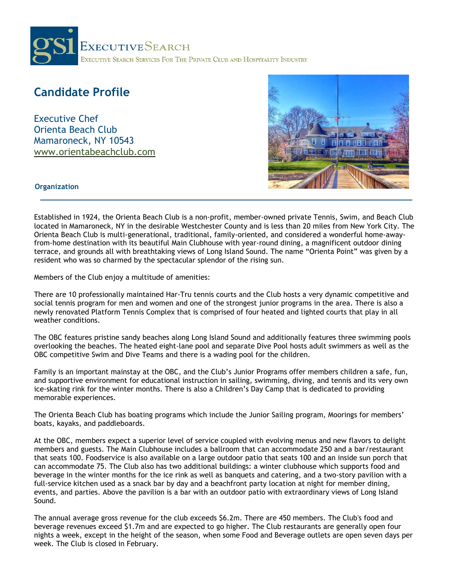

# **Candidate Profile**

Executive Chef Orienta Beach Club Mamaroneck, NY 10543 [www.orientabeachclub.com](https://www.orientabeachclub.com/)



## **Organization**

Established in 1924, the Orienta Beach Club is a non-profit, member-owned private Tennis, Swim, and Beach Club located in Mamaroneck, NY in the desirable Westchester County and is less than 20 miles from New York City. The Orienta Beach Club is multi-generational, traditional, family-oriented, and considered a wonderful home-awayfrom-home destination with its beautiful Main Clubhouse with year-round dining, a magnificent outdoor dining terrace, and grounds all with breathtaking views of Long Island Sound. The name "Orienta Point" was given by a resident who was so charmed by the spectacular splendor of the rising sun.

Members of the Club enjoy a multitude of amenities:

There are 10 professionally maintained Har-Tru tennis courts and the Club hosts a very dynamic competitive and social tennis program for men and women and one of the strongest junior programs in the area. There is also a newly renovated Platform Tennis Complex that is comprised of four heated and lighted courts that play in all weather conditions.

The OBC features pristine sandy beaches along Long Island Sound and additionally features three swimming pools overlooking the beaches. The heated eight-lane pool and separate Dive Pool hosts adult swimmers as well as the OBC competitive Swim and Dive Teams and there is a wading pool for the children.

Family is an important mainstay at the OBC, and the Club's Junior Programs offer members children a safe, fun, and supportive environment for educational instruction in sailing, swimming, diving, and tennis and its very own ice-skating rink for the winter months. There is also a Children's Day Camp that is dedicated to providing memorable experiences.

The Orienta Beach Club has boating programs which include the Junior Sailing program, Moorings for members' boats, kayaks, and paddleboards.

At the OBC, members expect a superior level of service coupled with evolving menus and new flavors to delight members and guests. The Main Clubhouse includes a ballroom that can accommodate 250 and a bar/restaurant that seats 100. Foodservice is also available on a large outdoor patio that seats 100 and an inside sun porch that can accommodate 75. The Club also has two additional buildings: a winter clubhouse which supports food and beverage in the winter months for the ice rink as well as banquets and catering, and a two-story pavilion with a full-service kitchen used as a snack bar by day and a beachfront party location at night for member dining, events, and parties. Above the pavilion is a bar with an outdoor patio with extraordinary views of Long Island Sound.

The annual average gross revenue for the club exceeds \$6.2m. There are 450 members. The Club's food and beverage revenues exceed \$1.7m and are expected to go higher. The Club restaurants are generally open four nights a week, except in the height of the season, when some Food and Beverage outlets are open seven days per week. The Club is closed in February.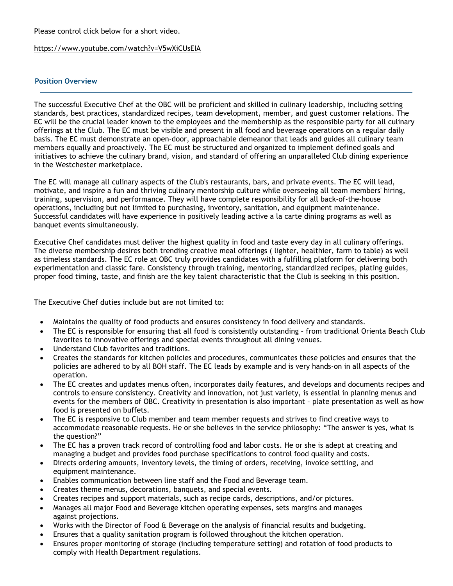### Please control click below for a short video.

### <https://www.youtube.com/watch?v=V5wXiCUsEIA>

## **Position Overview**

The successful Executive Chef at the OBC will be proficient and skilled in culinary leadership, including setting standards, best practices, standardized recipes, team development, member, and guest customer relations. The EC will be the crucial leader known to the employees and the membership as the responsible party for all culinary offerings at the Club. The EC must be visible and present in all food and beverage operations on a regular daily basis. The EC must demonstrate an open-door, approachable demeanor that leads and guides all culinary team members equally and proactively. The EC must be structured and organized to implement defined goals and initiatives to achieve the culinary brand, vision, and standard of offering an unparalleled Club dining experience in the Westchester marketplace.

The EC will manage all culinary aspects of the Club's restaurants, bars, and private events. The EC will lead, motivate, and inspire a fun and thriving culinary mentorship culture while overseeing all team members' hiring, training, supervision, and performance. They will have complete responsibility for all back-of-the-house operations, including but not limited to purchasing, inventory, sanitation, and equipment maintenance. Successful candidates will have experience in positively leading active a la carte dining programs as well as banquet events simultaneously.

Executive Chef candidates must deliver the highest quality in food and taste every day in all culinary offerings. The diverse membership desires both trending creative meal offerings ( lighter, healthier, farm to table) as well as timeless standards. The EC role at OBC truly provides candidates with a fulfilling platform for delivering both experimentation and classic fare. Consistency through training, mentoring, standardized recipes, plating guides, proper food timing, taste, and finish are the key talent characteristic that the Club is seeking in this position.

The Executive Chef duties include but are not limited to:

- Maintains the quality of food products and ensures consistency in food delivery and standards.
- The EC is responsible for ensuring that all food is consistently outstanding from traditional Orienta Beach Club favorites to innovative offerings and special events throughout all dining venues.
- Understand Club favorites and traditions.
- Creates the standards for kitchen policies and procedures, communicates these policies and ensures that the policies are adhered to by all BOH staff. The EC leads by example and is very hands-on in all aspects of the operation.
- The EC creates and updates menus often, incorporates daily features, and develops and documents recipes and controls to ensure consistency. Creativity and innovation, not just variety, is essential in planning menus and events for the members of OBC. Creativity in presentation is also important – plate presentation as well as how food is presented on buffets.
- The EC is responsive to Club member and team member requests and strives to find creative ways to accommodate reasonable requests. He or she believes in the service philosophy: "The answer is yes, what is the question?"
- The EC has a proven track record of controlling food and labor costs. He or she is adept at creating and managing a budget and provides food purchase specifications to control food quality and costs.
- Directs ordering amounts, inventory levels, the timing of orders, receiving, invoice settling, and equipment maintenance.
- Enables communication between line staff and the Food and Beverage team.
- Creates theme menus, decorations, banquets, and special events.
- Creates recipes and support materials, such as recipe cards, descriptions, and/or pictures.
- Manages all major Food and Beverage kitchen operating expenses, sets margins and manages against projections.
- Works with the Director of Food & Beverage on the analysis of financial results and budgeting.
- Ensures that a quality sanitation program is followed throughout the kitchen operation.
- Ensures proper monitoring of storage (including temperature setting) and rotation of food products to comply with Health Department regulations.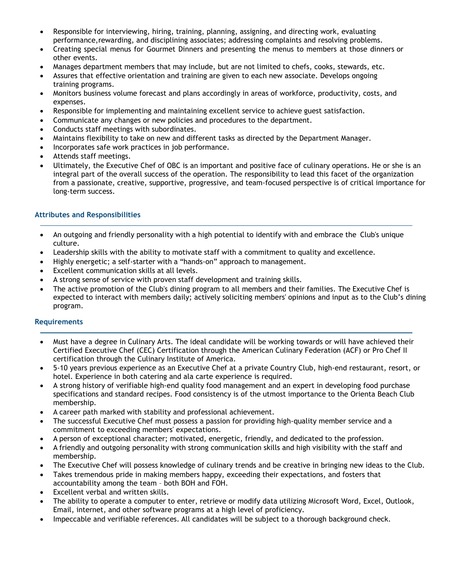- Responsible for interviewing, hiring, training, planning, assigning, and directing work, evaluating performance,rewarding, and disciplining associates; addressing complaints and resolving problems.
- Creating special menus for Gourmet Dinners and presenting the menus to members at those dinners or other events.
- Manages department members that may include, but are not limited to chefs, cooks, stewards, etc.
- Assures that effective orientation and training are given to each new associate. Develops ongoing training programs.
- Monitors business volume forecast and plans accordingly in areas of workforce, productivity, costs, and expenses.
- Responsible for implementing and maintaining excellent service to achieve guest satisfaction.
- Communicate any changes or new policies and procedures to the department.
- Conducts staff meetings with subordinates.
- Maintains flexibility to take on new and different tasks as directed by the Department Manager.
- Incorporates safe work practices in job performance.
- Attends staff meetings.
- Ultimately, the Executive Chef of OBC is an important and positive face of culinary operations. He or she is an integral part of the overall success of the operation. The responsibility to lead this facet of the organization from a passionate, creative, supportive, progressive, and team-focused perspective is of critical importance for long-term success.

### **Attributes and Responsibilities**

- An outgoing and friendly personality with a high potential to identify with and embrace the Club's unique culture.
- Leadership skills with the ability to motivate staff with a commitment to quality and excellence.
- Highly energetic; a self-starter with a "hands-on" approach to management.
- Excellent communication skills at all levels.
- A strong sense of service with proven staff development and training skills.
- The active promotion of the Club's dining program to all members and their families. The Executive Chef is expected to interact with members daily; actively soliciting members' opinions and input as to the Club's dining program.

#### **Requirements**

- Must have a degree in Culinary Arts. The ideal candidate will be working towards or will have achieved their Certified Executive Chef (CEC) Certification through the American Culinary Federation (ACF) or Pro Chef II certification through the Culinary Institute of America.
- 5-10 years previous experience as an Executive Chef at a private Country Club, high-end restaurant, resort, or hotel. Experience in both catering and ala carte experience is required.
- A strong history of verifiable high-end quality food management and an expert in developing food purchase specifications and standard recipes. Food consistency is of the utmost importance to the Orienta Beach Club membership.
- A career path marked with stability and professional achievement.
- The successful Executive Chef must possess a passion for providing high-quality member service and a commitment to exceeding members' expectations.
- A person of exceptional character; motivated, energetic, friendly, and dedicated to the profession.
- A friendly and outgoing personality with strong communication skills and high visibility with the staff and membership.
- The Executive Chef will possess knowledge of culinary trends and be creative in bringing new ideas to the Club.
- Takes tremendous pride in making members happy, exceeding their expectations, and fosters that accountability among the team – both BOH and FOH.
- Excellent verbal and written skills.
- The ability to operate a computer to enter, retrieve or modify data utilizing Microsoft Word, Excel, Outlook, Email, internet, and other software programs at a high level of proficiency.
- Impeccable and verifiable references. All candidates will be subject to a thorough background check.